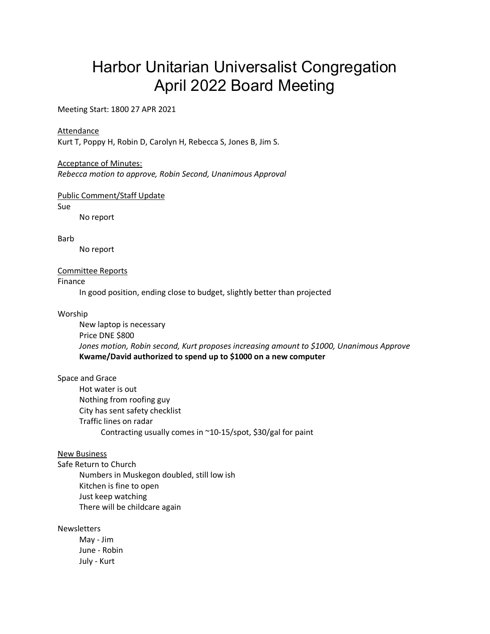# Harbor Unitarian Universalist Congregation April 2022 Board Meeting

Meeting Start: 1800 27 APR 2021

## **Attendance**

Kurt T, Poppy H, Robin D, Carolyn H, Rebecca S, Jones B, Jim S.

### Acceptance of Minutes:

*Rebecca motion to approve, Robin Second, Unanimous Approval*

### Public Comment/Staff Update

Sue

No report

Barb

No report

## Committee Reports

Finance

In good position, ending close to budget, slightly better than projected

#### Worship

New laptop is necessary Price DNE \$800 *Jones motion, Robin second, Kurt proposes increasing amount to \$1000, Unanimous Approve* **Kwame/David authorized to spend up to \$1000 on a new computer**

#### Space and Grace

Hot water is out Nothing from roofing guy City has sent safety checklist Traffic lines on radar Contracting usually comes in ~10-15/spot, \$30/gal for paint

# New Business

Safe Return to Church Numbers in Muskegon doubled, still low ish Kitchen is fine to open Just keep watching There will be childcare again

Newsletters

May - Jim June - Robin July - Kurt